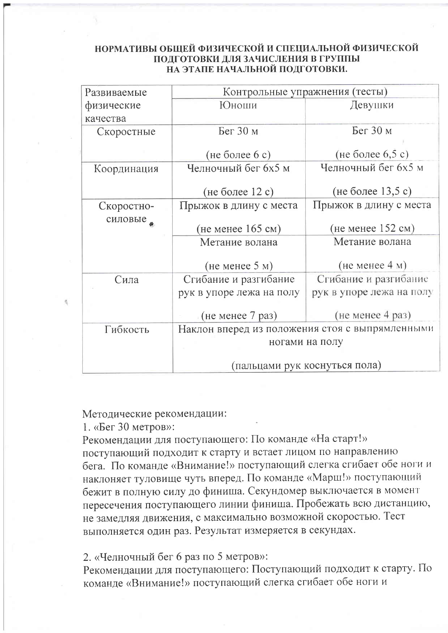#### НОРМАТИВЫ ОБЩЕЙ ФИЗИЧЕСКОЙ И СПЕЦИАЛЬНОЙ ФИЗИЧЕСКОЙ ПОДГОТОВКИ ДЛЯ ЗАЧИСЛЕНИЯ В ГРУППЫ НА ЭТАПЕ НАЧАЛЬНОЙ ПОДГОТОВКИ.

| Развиваемые                                                 | Контрольные упражнения (тесты) |                          |
|-------------------------------------------------------------|--------------------------------|--------------------------|
| физические                                                  | <b>Юноши</b>                   | Девушки                  |
| качества                                                    |                                |                          |
| Скоростные                                                  | Бег 30 м                       | Бег 30 м                 |
|                                                             | (не более 6 с)                 | (не более $6,5$ с)       |
| Координация                                                 | Челночный бег 6х5 м            | Челночный бег 6х5 м      |
|                                                             |                                |                          |
|                                                             | (не более 12 с)                | (не более 13,5 с)        |
| Скоростно-                                                  | Прыжок в длину с места         | Прыжок в длину с места   |
| силовые                                                     | (не менее 165 см)              | $(He$ менее 152 см)      |
|                                                             | Метание волана                 | Метание волана           |
|                                                             |                                |                          |
|                                                             | $(He$ менее $5$ м)             | $(He$ менее $4$ м)       |
| Сила                                                        | Сгибание и разгибание          | Сгибание и разгибание    |
|                                                             | рук в упоре лежа на полу       | рук в упоре лежа на полу |
|                                                             | (не менее 7 раз)               | $(He$ менее 4 раз)       |
| Наклон вперед из положения стоя с выпрямленными<br>Гибкость |                                |                          |
|                                                             | ногами на полу                 |                          |
|                                                             |                                |                          |
|                                                             | (пальцами рук коснуться пола)  |                          |

### Методические рекомендации:

1. «Бег 30 метров»:

Рекомендации для поступающего: По команде «На старт!» поступающий подходит к старту и встает лицом по направлению бега. По команде «Внимание!» поступающий слегка сгибает обе ноги и наклоняет туловище чуть вперед. По команде «Марш!» поступающий бежит в полную силу до финиша. Секундомер выключается в момент пересечения поступающего линии финиша. Пробежать всю дистанцию, не замедляя движения, с максимально возможной скоростью. Тест выполняется один раз. Результат измеряется в секундах.

2. «Челночный бег 6 раз по 5 метров»:

Рекомендации для поступающего: Поступающий подходит к старту. По команде «Внимание!» поступающий слегка сгибает обе ноги и